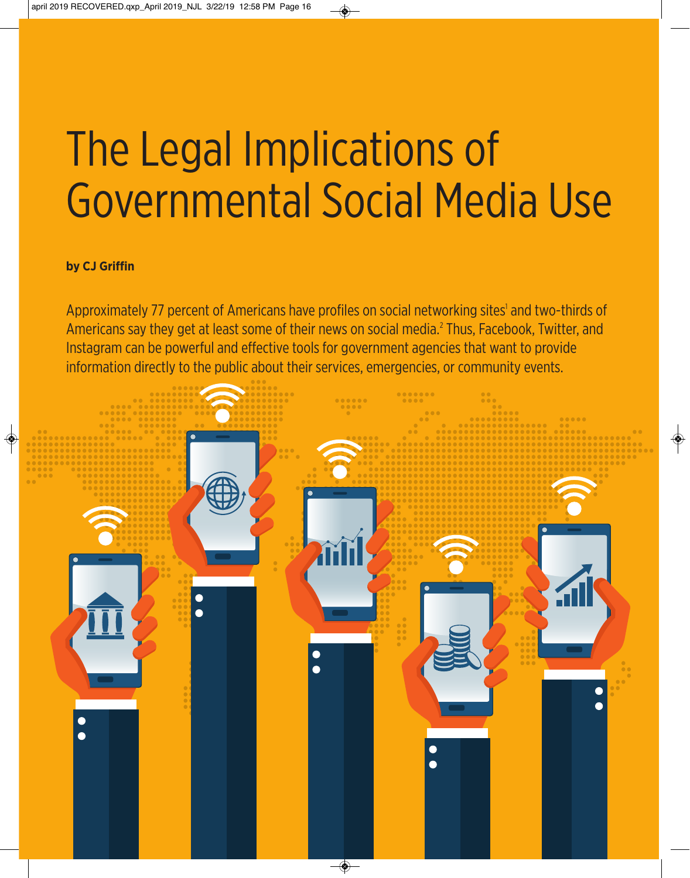# The Legal Implications of Governmental Social Media Use

## **by CJ Griffin**

Approximately 77 percent of Americans have profiles on social networking sites<sup>1</sup> and two-thirds of Americans say they get at least some of their news on social media.2 Thus, Facebook, Twitter, and Instagram can be powerful and effective tools for government agencies that want to provide information directly to the public about their services, emergencies, or community events.

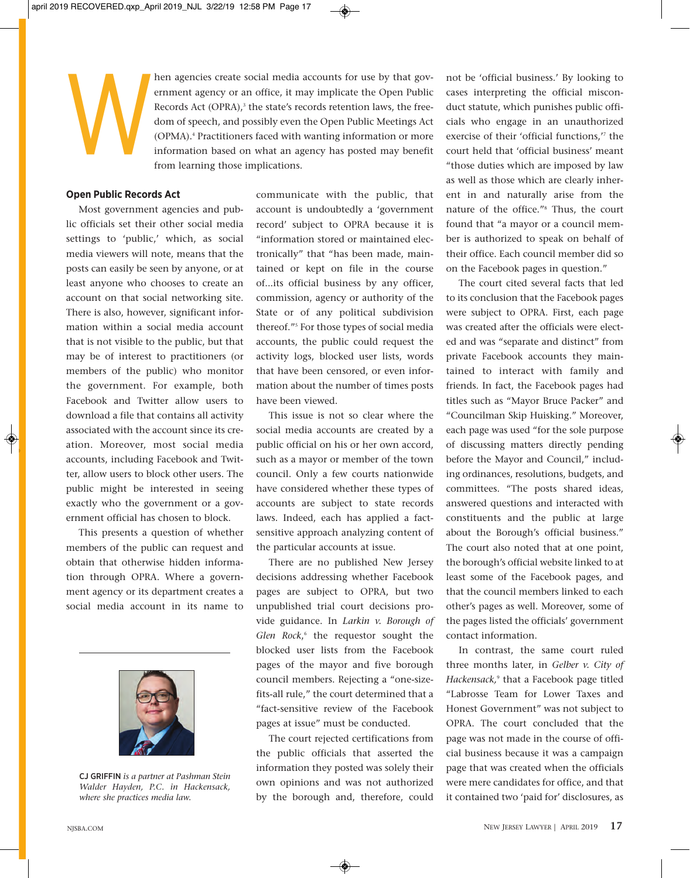

hen agencies create social media accounts for use by that government agency or an office, it may implicate the Open Public Records Act (OPRA),<sup>3</sup> the state's records retention laws, the freedom of speech, and possibly even ernment agency or an office, it may implicate the Open Public Records Act (OPRA),<sup>3</sup> the state's records retention laws, the freedom of speech, and possibly even the Open Public Meetings Act (OPMA).4 Practitioners faced with wanting information or more information based on what an agency has posted may benefit from learning those implications.

### **Open Public Records Act**

Most government agencies and public officials set their other social media settings to 'public,' which, as social media viewers will note, means that the posts can easily be seen by anyone, or at least anyone who chooses to create an account on that social networking site. There is also, however, significant information within a social media account that is not visible to the public, but that may be of interest to practitioners (or members of the public) who monitor the government. For example, both Facebook and Twitter allow users to download a file that contains all activity associated with the account since its creation. Moreover, most social media accounts, including Facebook and Twitter, allow users to block other users. The public might be interested in seeing exactly who the government or a government official has chosen to block.

This presents a question of whether members of the public can request and obtain that otherwise hidden information through OPRA. Where a government agency or its department creates a social media account in its name to



CJ GRIFFIN *is a partner at Pashman Stein Walder Hayden, P.C. in Hackensack, where she practices media law.*

communicate with the public, that account is undoubtedly a 'government record' subject to OPRA because it is "information stored or maintained electronically" that "has been made, maintained or kept on file in the course of...its official business by any officer, commission, agency or authority of the State or of any political subdivision thereof."5 For those types of social media accounts, the public could request the activity logs, blocked user lists, words that have been censored, or even information about the number of times posts have been viewed.

This issue is not so clear where the social media accounts are created by a public official on his or her own accord, such as a mayor or member of the town council. Only a few courts nationwide have considered whether these types of accounts are subject to state records laws. Indeed, each has applied a factsensitive approach analyzing content of the particular accounts at issue.

There are no published New Jersey decisions addressing whether Facebook pages are subject to OPRA, but two unpublished trial court decisions provide guidance. In *Larkin v. Borough of Glen Rock*, <sup>6</sup> the requestor sought the blocked user lists from the Facebook pages of the mayor and five borough council members. Rejecting a "one-sizefits-all rule," the court determined that a "fact-sensitive review of the Facebook pages at issue" must be conducted.

The court rejected certifications from the public officials that asserted the information they posted was solely their own opinions and was not authorized by the borough and, therefore, could not be 'official business.' By looking to cases interpreting the official misconduct statute, which punishes public officials who engage in an unauthorized exercise of their 'official functions,'7 the court held that 'official business' meant "those duties which are imposed by law as well as those which are clearly inherent in and naturally arise from the nature of the office."8 Thus, the court found that "a mayor or a council member is authorized to speak on behalf of their office. Each council member did so on the Facebook pages in question."

The court cited several facts that led to its conclusion that the Facebook pages were subject to OPRA. First, each page was created after the officials were elected and was "separate and distinct" from private Facebook accounts they maintained to interact with family and friends. In fact, the Facebook pages had titles such as "Mayor Bruce Packer" and "Councilman Skip Huisking." Moreover, each page was used "for the sole purpose of discussing matters directly pending before the Mayor and Council," including ordinances, resolutions, budgets, and committees. "The posts shared ideas, answered questions and interacted with constituents and the public at large about the Borough's official business." The court also noted that at one point, the borough's official website linked to at least some of the Facebook pages, and that the council members linked to each other's pages as well. Moreover, some of the pages listed the officials' government contact information.

In contrast, the same court ruled three months later, in *Gelber v. City of Hackensack,*<sup>9</sup> that a Facebook page titled "Labrosse Team for Lower Taxes and Honest Government" was not subject to OPRA. The court concluded that the page was not made in the course of official business because it was a campaign page that was created when the officials were mere candidates for office, and that it contained two 'paid for' disclosures, as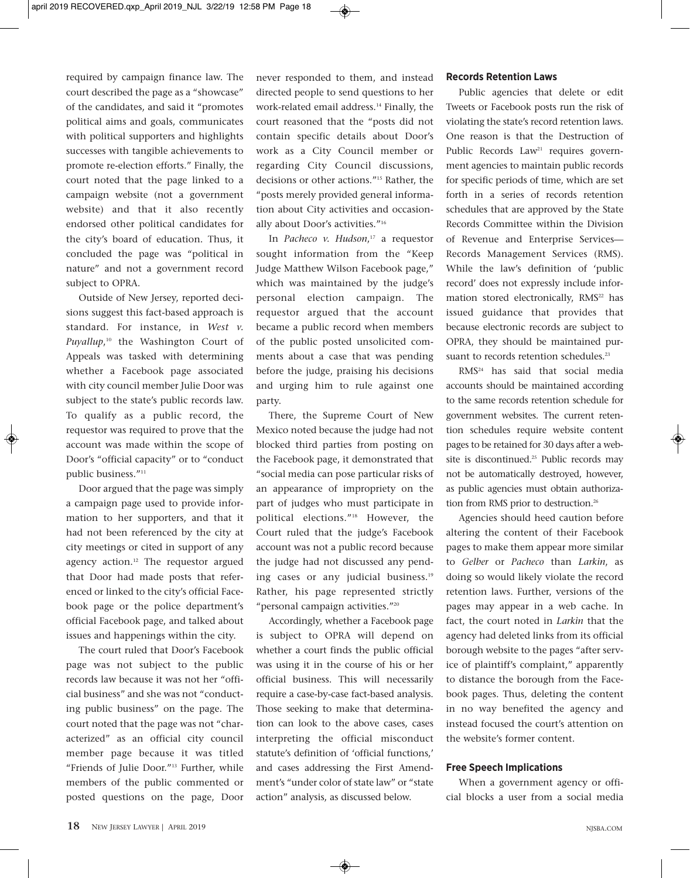required by campaign finance law. The court described the page as a "showcase" of the candidates, and said it "promotes political aims and goals, communicates with political supporters and highlights successes with tangible achievements to promote re-election efforts." Finally, the court noted that the page linked to a campaign website (not a government website) and that it also recently endorsed other political candidates for the city's board of education. Thus, it concluded the page was "political in nature" and not a government record subject to OPRA.

Outside of New Jersey, reported decisions suggest this fact-based approach is standard. For instance, in *West v. Puyallup*, <sup>10</sup> the Washington Court of Appeals was tasked with determining whether a Facebook page associated with city council member Julie Door was subject to the state's public records law. To qualify as a public record, the requestor was required to prove that the account was made within the scope of Door's "official capacity" or to "conduct public business."<sup>11</sup>

Door argued that the page was simply a campaign page used to provide information to her supporters, and that it had not been referenced by the city at city meetings or cited in support of any agency action.<sup>12</sup> The requestor argued that Door had made posts that referenced or linked to the city's official Facebook page or the police department's official Facebook page, and talked about issues and happenings within the city.

The court ruled that Door's Facebook page was not subject to the public records law because it was not her "official business" and she was not "conducting public business" on the page. The court noted that the page was not "characterized" as an official city council member page because it was titled "Friends of Julie Door."13 Further, while members of the public commented or posted questions on the page, Door never responded to them, and instead directed people to send questions to her work-related email address.<sup>14</sup> Finally, the court reasoned that the "posts did not contain specific details about Door's work as a City Council member or regarding City Council discussions, decisions or other actions."15 Rather, the "posts merely provided general information about City activities and occasionally about Door's activities."16

In *Pacheco v. Hudson*, <sup>17</sup> a requestor sought information from the "Keep Judge Matthew Wilson Facebook page," which was maintained by the judge's personal election campaign. The requestor argued that the account became a public record when members of the public posted unsolicited comments about a case that was pending before the judge, praising his decisions and urging him to rule against one party.

There, the Supreme Court of New Mexico noted because the judge had not blocked third parties from posting on the Facebook page, it demonstrated that "social media can pose particular risks of an appearance of impropriety on the part of judges who must participate in political elections."18 However, the Court ruled that the judge's Facebook account was not a public record because the judge had not discussed any pending cases or any judicial business.<sup>19</sup> Rather, his page represented strictly "personal campaign activities."20

Accordingly, whether a Facebook page is subject to OPRA will depend on whether a court finds the public official was using it in the course of his or her official business. This will necessarily require a case-by-case fact-based analysis. Those seeking to make that determination can look to the above cases, cases interpreting the official misconduct statute's definition of 'official functions,' and cases addressing the First Amendment's "under color of state law" or "state action" analysis, as discussed below.

#### **Records Retention Laws**

Public agencies that delete or edit Tweets or Facebook posts run the risk of violating the state's record retention laws. One reason is that the Destruction of Public Records Law<sup>21</sup> requires government agencies to maintain public records for specific periods of time, which are set forth in a series of records retention schedules that are approved by the State Records Committee within the Division of Revenue and Enterprise Services— Records Management Services (RMS). While the law's definition of 'public record' does not expressly include information stored electronically, RMS<sup>22</sup> has issued guidance that provides that because electronic records are subject to OPRA, they should be maintained pursuant to records retention schedules.<sup>23</sup>

RMS24 has said that social media accounts should be maintained according to the same records retention schedule for government websites. The current retention schedules require website content pages to be retained for 30 days after a website is discontinued.<sup>25</sup> Public records may not be automatically destroyed, however, as public agencies must obtain authorization from RMS prior to destruction.<sup>26</sup>

Agencies should heed caution before altering the content of their Facebook pages to make them appear more similar to *Gelber* or *Pacheco* than *Larkin*, as doing so would likely violate the record retention laws. Further, versions of the pages may appear in a web cache. In fact, the court noted in *Larkin* that the agency had deleted links from its official borough website to the pages "after service of plaintiff's complaint," apparently to distance the borough from the Facebook pages. Thus, deleting the content in no way benefited the agency and instead focused the court's attention on the website's former content.

#### **Free Speech Implications**

When a government agency or official blocks a user from a social media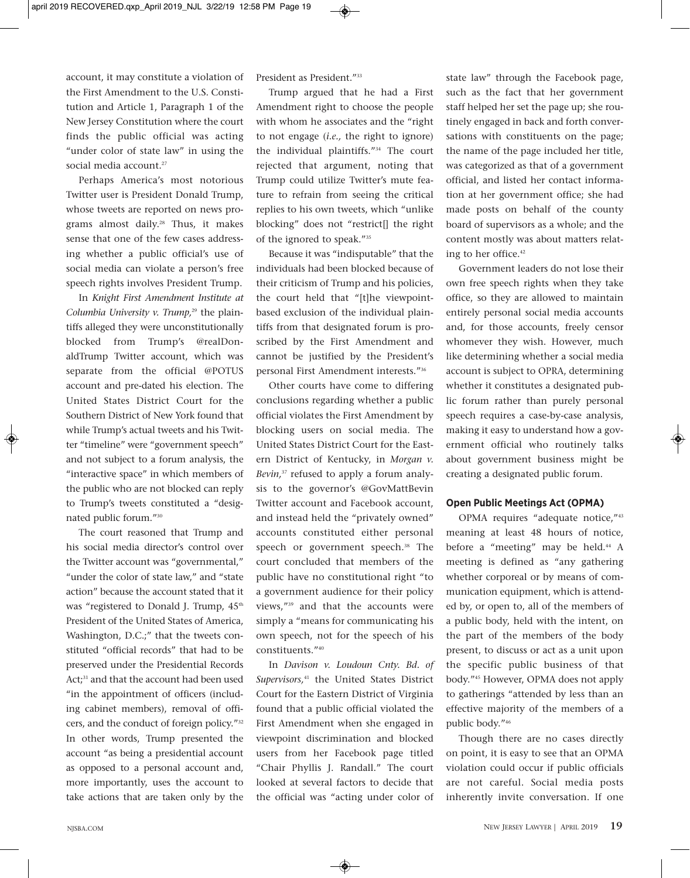account, it may constitute a violation of the First Amendment to the U.S. Constitution and Article 1, Paragraph 1 of the New Jersey Constitution where the court finds the public official was acting "under color of state law" in using the social media account.<sup>27</sup>

Perhaps America's most notorious Twitter user is President Donald Trump, whose tweets are reported on news programs almost daily.28 Thus, it makes sense that one of the few cases addressing whether a public official's use of social media can violate a person's free speech rights involves President Trump.

In *Knight First Amendment Institute at Columbia University v. Trump*,<sup>29</sup> the plaintiffs alleged they were unconstitutionally blocked from Trump's @realDonaldTrump Twitter account, which was separate from the official @POTUS account and pre-dated his election. The United States District Court for the Southern District of New York found that while Trump's actual tweets and his Twitter "timeline" were "government speech" and not subject to a forum analysis, the "interactive space" in which members of the public who are not blocked can reply to Trump's tweets constituted a "designated public forum."30

The court reasoned that Trump and his social media director's control over the Twitter account was "governmental," "under the color of state law," and "state action" because the account stated that it was "registered to Donald J. Trump,  $45<sup>th</sup>$ President of the United States of America, Washington, D.C.;" that the tweets constituted "official records" that had to be preserved under the Presidential Records Act;<sup>31</sup> and that the account had been used "in the appointment of officers (including cabinet members), removal of officers, and the conduct of foreign policy."32 In other words, Trump presented the account "as being a presidential account as opposed to a personal account and, more importantly, uses the account to take actions that are taken only by the President as President."<sup>33</sup>

Trump argued that he had a First Amendment right to choose the people with whom he associates and the "right to not engage (*i.e.,* the right to ignore) the individual plaintiffs."34 The court rejected that argument, noting that Trump could utilize Twitter's mute feature to refrain from seeing the critical replies to his own tweets, which "unlike blocking" does not "restrict[] the right of the ignored to speak."35

Because it was "indisputable" that the individuals had been blocked because of their criticism of Trump and his policies, the court held that "[t]he viewpointbased exclusion of the individual plaintiffs from that designated forum is proscribed by the First Amendment and cannot be justified by the President's personal First Amendment interests."36

Other courts have come to differing conclusions regarding whether a public official violates the First Amendment by blocking users on social media. The United States District Court for the Eastern District of Kentucky, in *Morgan v. Bevin,*<sup>37</sup> refused to apply a forum analysis to the governor's @GovMattBevin Twitter account and Facebook account, and instead held the "privately owned" accounts constituted either personal speech or government speech.<sup>38</sup> The court concluded that members of the public have no constitutional right "to a government audience for their policy views,"39 and that the accounts were simply a "means for communicating his own speech, not for the speech of his constituents."40

In *Davison v. Loudoun Cnty. Bd. of Supervisors,*<sup>41</sup> the United States District Court for the Eastern District of Virginia found that a public official violated the First Amendment when she engaged in viewpoint discrimination and blocked users from her Facebook page titled "Chair Phyllis J. Randall." The court looked at several factors to decide that the official was "acting under color of

state law" through the Facebook page, such as the fact that her government staff helped her set the page up; she routinely engaged in back and forth conversations with constituents on the page; the name of the page included her title, was categorized as that of a government official, and listed her contact information at her government office; she had made posts on behalf of the county board of supervisors as a whole; and the content mostly was about matters relating to her office.42

Government leaders do not lose their own free speech rights when they take office, so they are allowed to maintain entirely personal social media accounts and, for those accounts, freely censor whomever they wish. However, much like determining whether a social media account is subject to OPRA, determining whether it constitutes a designated public forum rather than purely personal speech requires a case-by-case analysis, making it easy to understand how a government official who routinely talks about government business might be creating a designated public forum.

#### **Open Public Meetings Act (OPMA)**

OPMA requires "adequate notice,"43 meaning at least 48 hours of notice, before a "meeting" may be held.<sup>44</sup> A meeting is defined as "any gathering whether corporeal or by means of communication equipment, which is attended by, or open to, all of the members of a public body, held with the intent, on the part of the members of the body present, to discuss or act as a unit upon the specific public business of that body."45 However, OPMA does not apply to gatherings "attended by less than an effective majority of the members of a public body."46

Though there are no cases directly on point, it is easy to see that an OPMA violation could occur if public officials are not careful. Social media posts inherently invite conversation. If one